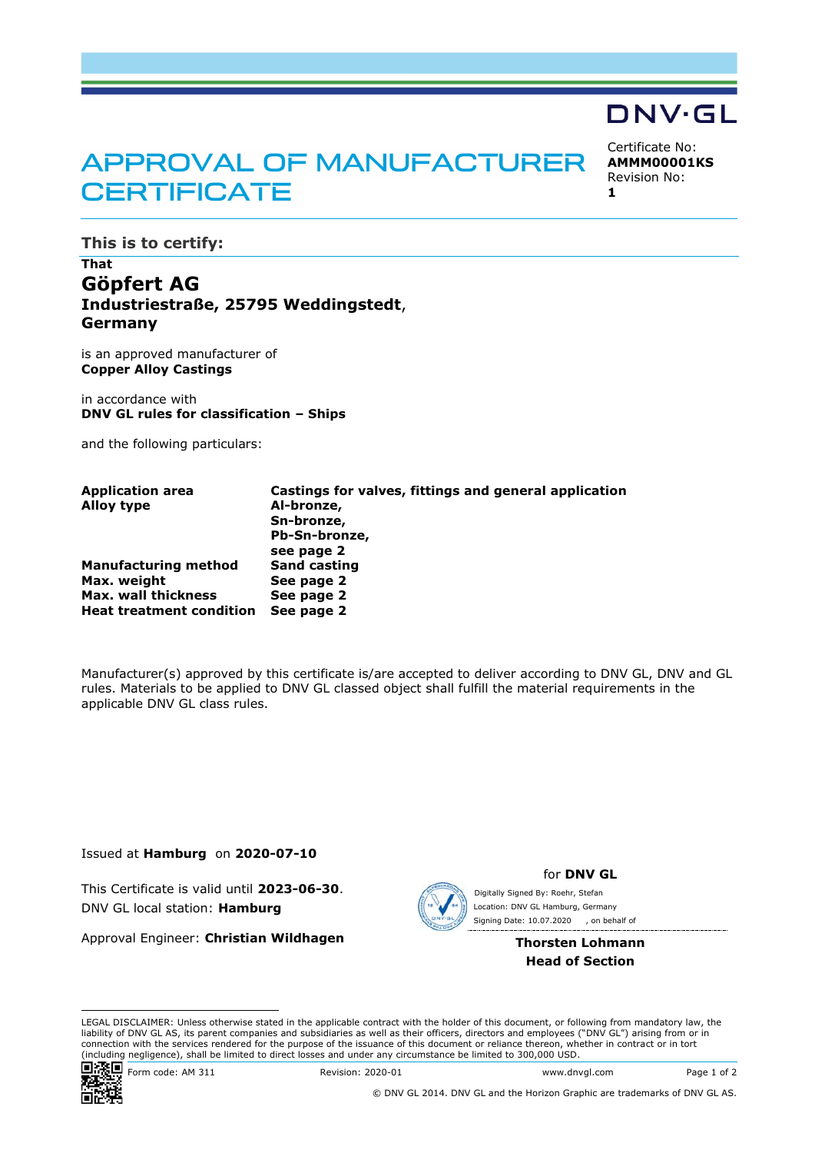## **APPROVAL OF MANUFACTURER CERTIFICATE**

Certificate No: **AMMM00001KS** Revision No: **1** 

DNV·GL

**This is to certify:** 

## **That Göpfert AG Industriestraße, 25795 Weddingstedt**, **Germany**

is an approved manufacturer of **Copper Alloy Castings**

in accordance with **DNV GL rules for classification – Ships** 

and the following particulars:

| <b>Application area</b>         | Castings for valves, fittings and general application |
|---------------------------------|-------------------------------------------------------|
| <b>Alloy type</b>               | Al-bronze,                                            |
|                                 | Sn-bronze,                                            |
|                                 | Pb-Sn-bronze,                                         |
|                                 | see page 2                                            |
| <b>Manufacturing method</b>     | <b>Sand casting</b>                                   |
| Max. weight                     | See page 2                                            |
| <b>Max. wall thickness</b>      | See page 2                                            |
| <b>Heat treatment condition</b> | See page 2                                            |

Manufacturer(s) approved by this certificate is/are accepted to deliver according to DNV GL, DNV and GL rules. Materials to be applied to DNV GL classed object shall fulfill the material requirements in the applicable DNV GL class rules.

Issued at **Hamburg** on **2020-07-10**

This Certificate is valid until **2023-06-30**. DNV GL local station: **Hamburg**

Approval Engineer: **Christian Wildhagen**



for **DNV GL**

Signing Date: 10.07.2020 , on behalf of Digitally Signed By: Roehr, Stefan Location: DNV GL Hamburg, Germany

> **Thorsten Lohmann Head of Section**

LEGAL DISCLAIMER: Unless otherwise stated in the applicable contract with the holder of this document, or following from mandatory law, the liability of DNV GL AS, its parent companies and subsidiaries as well as their officers, directors and employees ("DNV GL") arising from or in connection with the services rendered for the purpose of the issuance of this document or reliance thereon, whether in contract or in tort (including negligence), shall be limited to direct losses and under any circumstance be limited to 300,000 USD.



Form code: AM 311 Revision: 2020-01 www.dnvgl.com Page 1 of 2

© DNV GL 2014. DNV GL and the Horizon Graphic are trademarks of DNV GL AS.